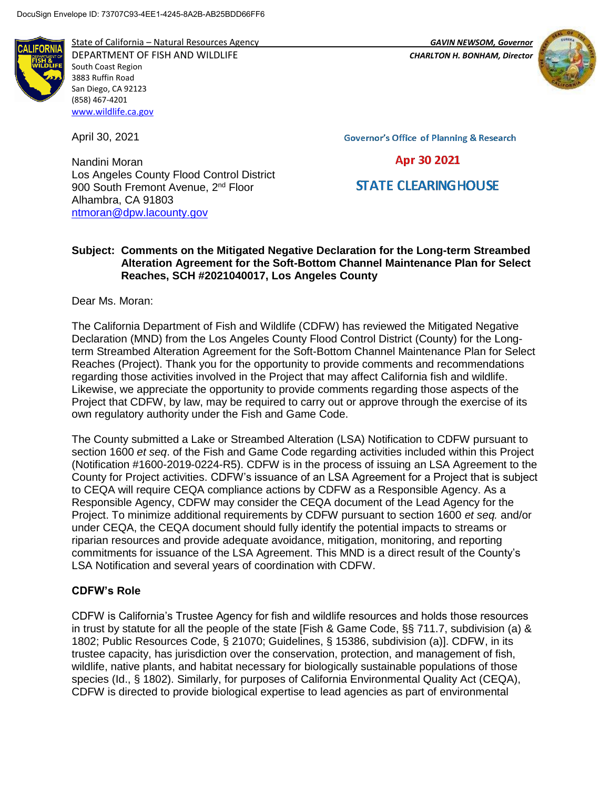

State of California – Natural Resources Agency *GAVIN NEWSOM, Governor*

DEPARTMENT OF FISH AND WILDLIFE *CHARLTON H. BONHAM, Director*  South Coast Region 3883 Ruffin Road San Diego, CA 92123 (858) 467-4201 [www.wildlife.ca.gov](http://www.wildlife.ca.gov/)

April 30, 2021

Nandini Moran Los Angeles County Flood Control District 900 South Fremont Avenue, 2<sup>nd</sup> Floor Alhambra, CA 91803 [ntmoran@dpw.lacounty.gov](mailto:ntmoran@dpw.lacounty.gov)

**Governor's Office of Planning & Research** 

## Apr 30 2021

# **STATE CLEARING HOUSE**

#### **Subject: Comments on the Mitigated Negative Declaration for the Long-term Streambed Alteration Agreement for the Soft-Bottom Channel Maintenance Plan for Select Reaches, SCH #2021040017, Los Angeles County**

Dear Ms. Moran:

The California Department of Fish and Wildlife (CDFW) has reviewed the Mitigated Negative Declaration (MND) from the Los Angeles County Flood Control District (County) for the Longterm Streambed Alteration Agreement for the Soft-Bottom Channel Maintenance Plan for Select Reaches (Project). Thank you for the opportunity to provide comments and recommendations regarding those activities involved in the Project that may affect California fish and wildlife. Likewise, we appreciate the opportunity to provide comments regarding those aspects of the Project that CDFW, by law, may be required to carry out or approve through the exercise of its own regulatory authority under the Fish and Game Code.

The County submitted a Lake or Streambed Alteration (LSA) Notification to CDFW pursuant to section 1600 *et seq*. of the Fish and Game Code regarding activities included within this Project (Notification #1600-2019-0224-R5). CDFW is in the process of issuing an LSA Agreement to the County for Project activities. CDFW's issuance of an LSA Agreement for a Project that is subject to CEQA will require CEQA compliance actions by CDFW as a Responsible Agency. As a Responsible Agency, CDFW may consider the CEQA document of the Lead Agency for the Project. To minimize additional requirements by CDFW pursuant to section 1600 *et seq.* and/or under CEQA, the CEQA document should fully identify the potential impacts to streams or riparian resources and provide adequate avoidance, mitigation, monitoring, and reporting commitments for issuance of the LSA Agreement. This MND is a direct result of the County's LSA Notification and several years of coordination with CDFW.

#### **CDFW's Role**

CDFW is California's Trustee Agency for fish and wildlife resources and holds those resources in trust by statute for all the people of the state [Fish & Game Code, §§ 711.7, subdivision (a) & 1802; Public Resources Code, § 21070; Guidelines, § 15386, subdivision (a)]. CDFW, in its trustee capacity, has jurisdiction over the conservation, protection, and management of fish, wildlife, native plants, and habitat necessary for biologically sustainable populations of those species (Id., § 1802). Similarly, for purposes of California Environmental Quality Act (CEQA), CDFW is directed to provide biological expertise to lead agencies as part of environmental

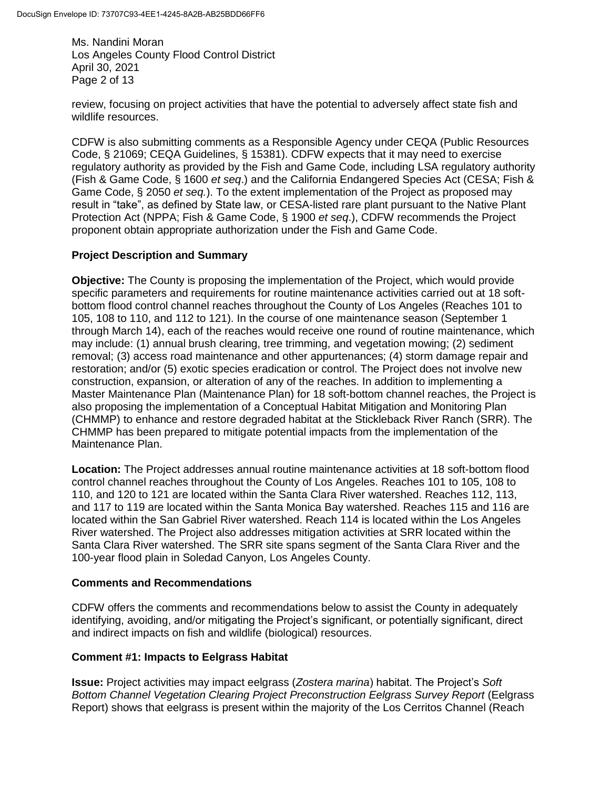Ms. Nandini Moran Los Angeles County Flood Control District April 30, 2021 Page 2 of 13

review, focusing on project activities that have the potential to adversely affect state fish and wildlife resources.

CDFW is also submitting comments as a Responsible Agency under CEQA (Public Resources Code, § 21069; CEQA Guidelines, § 15381). CDFW expects that it may need to exercise regulatory authority as provided by the Fish and Game Code, including LSA regulatory authority (Fish & Game Code, § 1600 *et seq*.) and the California Endangered Species Act (CESA; Fish & Game Code, § 2050 *et seq.*). To the extent implementation of the Project as proposed may result in "take", as defined by State law, or CESA-listed rare plant pursuant to the Native Plant Protection Act (NPPA; Fish & Game Code, § 1900 *et seq*.), CDFW recommends the Project proponent obtain appropriate authorization under the Fish and Game Code.

## **Project Description and Summary**

**Objective:** The County is proposing the implementation of the Project, which would provide specific parameters and requirements for routine maintenance activities carried out at 18 softbottom flood control channel reaches throughout the County of Los Angeles (Reaches 101 to 105, 108 to 110, and 112 to 121). In the course of one maintenance season (September 1 through March 14), each of the reaches would receive one round of routine maintenance, which may include: (1) annual brush clearing, tree trimming, and vegetation mowing; (2) sediment removal; (3) access road maintenance and other appurtenances; (4) storm damage repair and restoration; and/or (5) exotic species eradication or control. The Project does not involve new construction, expansion, or alteration of any of the reaches. In addition to implementing a Master Maintenance Plan (Maintenance Plan) for 18 soft-bottom channel reaches, the Project is also proposing the implementation of a Conceptual Habitat Mitigation and Monitoring Plan (CHMMP) to enhance and restore degraded habitat at the Stickleback River Ranch (SRR). The CHMMP has been prepared to mitigate potential impacts from the implementation of the Maintenance Plan.

**Location:** The Project addresses annual routine maintenance activities at 18 soft-bottom flood control channel reaches throughout the County of Los Angeles. Reaches 101 to 105, 108 to 110, and 120 to 121 are located within the Santa Clara River watershed. Reaches 112, 113, and 117 to 119 are located within the Santa Monica Bay watershed. Reaches 115 and 116 are located within the San Gabriel River watershed. Reach 114 is located within the Los Angeles River watershed. The Project also addresses mitigation activities at SRR located within the Santa Clara River watershed. The SRR site spans segment of the Santa Clara River and the 100-year flood plain in Soledad Canyon, Los Angeles County.

## **Comments and Recommendations**

CDFW offers the comments and recommendations below to assist the County in adequately identifying, avoiding, and/or mitigating the Project's significant, or potentially significant, direct and indirect impacts on fish and wildlife (biological) resources.

## **Comment #1: Impacts to Eelgrass Habitat**

**Issue:** Project activities may impact eelgrass (*Zostera marina*) habitat. The Project's *Soft Bottom Channel Vegetation Clearing Project Preconstruction Eelgrass Survey Report* (Eelgrass Report) shows that eelgrass is present within the majority of the Los Cerritos Channel (Reach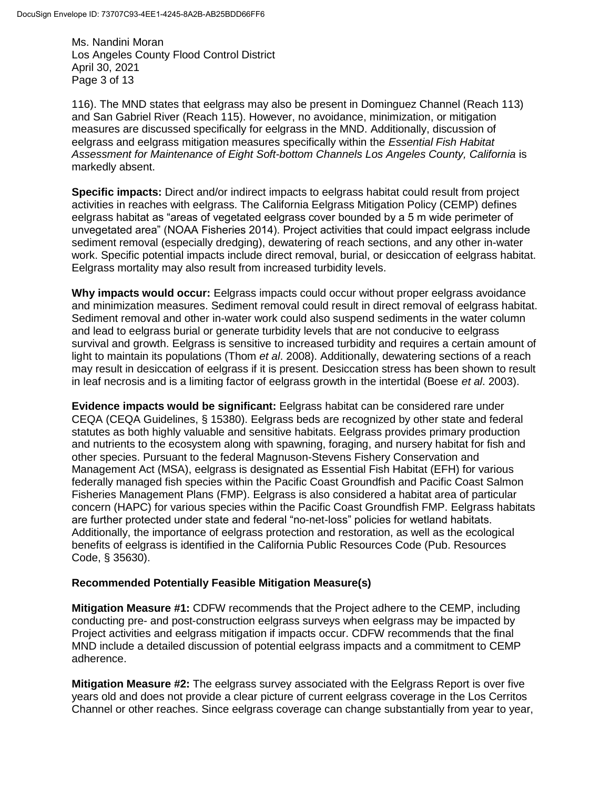Ms. Nandini Moran Los Angeles County Flood Control District April 30, 2021 Page 3 of 13

116). The MND states that eelgrass may also be present in Dominguez Channel (Reach 113) and San Gabriel River (Reach 115). However, no avoidance, minimization, or mitigation measures are discussed specifically for eelgrass in the MND. Additionally, discussion of eelgrass and eelgrass mitigation measures specifically within the *Essential Fish Habitat Assessment for Maintenance of Eight Soft-bottom Channels Los Angeles County, California* is markedly absent.

**Specific impacts:** Direct and/or indirect impacts to eelgrass habitat could result from project activities in reaches with eelgrass. The California Eelgrass Mitigation Policy (CEMP) defines eelgrass habitat as "areas of vegetated eelgrass cover bounded by a 5 m wide perimeter of unvegetated area" (NOAA Fisheries 2014). Project activities that could impact eelgrass include sediment removal (especially dredging), dewatering of reach sections, and any other in-water work. Specific potential impacts include direct removal, burial, or desiccation of eelgrass habitat. Eelgrass mortality may also result from increased turbidity levels.

**Why impacts would occur:** Eelgrass impacts could occur without proper eelgrass avoidance and minimization measures. Sediment removal could result in direct removal of eelgrass habitat. Sediment removal and other in-water work could also suspend sediments in the water column and lead to eelgrass burial or generate turbidity levels that are not conducive to eelgrass survival and growth. Eelgrass is sensitive to increased turbidity and requires a certain amount of light to maintain its populations (Thom *et al*. 2008). Additionally, dewatering sections of a reach may result in desiccation of eelgrass if it is present. Desiccation stress has been shown to result in leaf necrosis and is a limiting factor of eelgrass growth in the intertidal (Boese *et al*. 2003).

**Evidence impacts would be significant:** Eelgrass habitat can be considered rare under CEQA (CEQA Guidelines, § 15380). Eelgrass beds are recognized by other state and federal statutes as both highly valuable and sensitive habitats. Eelgrass provides primary production and nutrients to the ecosystem along with spawning, foraging, and nursery habitat for fish and other species. Pursuant to the federal Magnuson-Stevens Fishery Conservation and Management Act (MSA), eelgrass is designated as Essential Fish Habitat (EFH) for various federally managed fish species within the Pacific Coast Groundfish and Pacific Coast Salmon Fisheries Management Plans (FMP). Eelgrass is also considered a habitat area of particular concern (HAPC) for various species within the Pacific Coast Groundfish FMP. Eelgrass habitats are further protected under state and federal "no-net-loss" policies for wetland habitats. Additionally, the importance of eelgrass protection and restoration, as well as the ecological benefits of eelgrass is identified in the California Public Resources Code (Pub. Resources Code, § 35630).

## **Recommended Potentially Feasible Mitigation Measure(s)**

**Mitigation Measure #1:** CDFW recommends that the Project adhere to the CEMP, including conducting pre- and post-construction eelgrass surveys when eelgrass may be impacted by Project activities and eelgrass mitigation if impacts occur. CDFW recommends that the final MND include a detailed discussion of potential eelgrass impacts and a commitment to CEMP adherence.

**Mitigation Measure #2:** The eelgrass survey associated with the Eelgrass Report is over five years old and does not provide a clear picture of current eelgrass coverage in the Los Cerritos Channel or other reaches. Since eelgrass coverage can change substantially from year to year,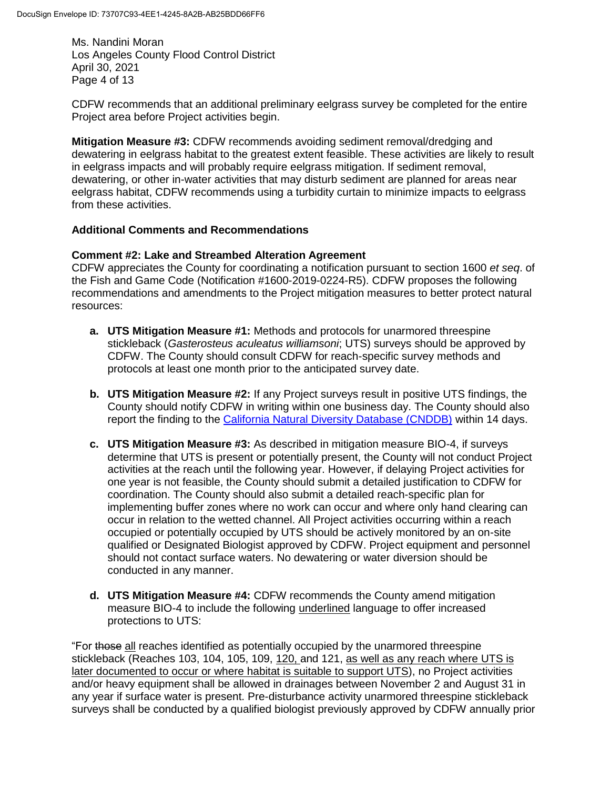Ms. Nandini Moran Los Angeles County Flood Control District April 30, 2021 Page 4 of 13

CDFW recommends that an additional preliminary eelgrass survey be completed for the entire Project area before Project activities begin.

**Mitigation Measure #3:** CDFW recommends avoiding sediment removal/dredging and dewatering in eelgrass habitat to the greatest extent feasible. These activities are likely to result in eelgrass impacts and will probably require eelgrass mitigation. If sediment removal, dewatering, or other in-water activities that may disturb sediment are planned for areas near eelgrass habitat, CDFW recommends using a turbidity curtain to minimize impacts to eelgrass from these activities.

## **Additional Comments and Recommendations**

### **Comment #2: Lake and Streambed Alteration Agreement**

CDFW appreciates the County for coordinating a notification pursuant to section 1600 *et seq*. of the Fish and Game Code (Notification #1600-2019-0224-R5). CDFW proposes the following recommendations and amendments to the Project mitigation measures to better protect natural resources:

- **a. UTS Mitigation Measure #1:** Methods and protocols for unarmored threespine stickleback (*Gasterosteus aculeatus williamsoni*; UTS) surveys should be approved by CDFW. The County should consult CDFW for reach-specific survey methods and protocols at least one month prior to the anticipated survey date.
- **b. UTS Mitigation Measure #2:** If any Project surveys result in positive UTS findings, the County should notify CDFW in writing within one business day. The County should also report the finding to the [California Natural Diversity Database \(CNDDB\)](https://wildlife.ca.gov/Data/CNDDB/Submitting-Data) within 14 days.
- **c. UTS Mitigation Measure #3:** As described in mitigation measure BIO-4, if surveys determine that UTS is present or potentially present, the County will not conduct Project activities at the reach until the following year. However, if delaying Project activities for one year is not feasible, the County should submit a detailed justification to CDFW for coordination. The County should also submit a detailed reach-specific plan for implementing buffer zones where no work can occur and where only hand clearing can occur in relation to the wetted channel. All Project activities occurring within a reach occupied or potentially occupied by UTS should be actively monitored by an on-site qualified or Designated Biologist approved by CDFW. Project equipment and personnel should not contact surface waters. No dewatering or water diversion should be conducted in any manner.
- **d. UTS Mitigation Measure #4:** CDFW recommends the County amend mitigation measure BIO-4 to include the following underlined language to offer increased protections to UTS:

"For those all reaches identified as potentially occupied by the unarmored threespine stickleback (Reaches 103, 104, 105, 109, 120, and 121, as well as any reach where UTS is later documented to occur or where habitat is suitable to support UTS), no Project activities and/or heavy equipment shall be allowed in drainages between November 2 and August 31 in any year if surface water is present. Pre-disturbance activity unarmored threespine stickleback surveys shall be conducted by a qualified biologist previously approved by CDFW annually prior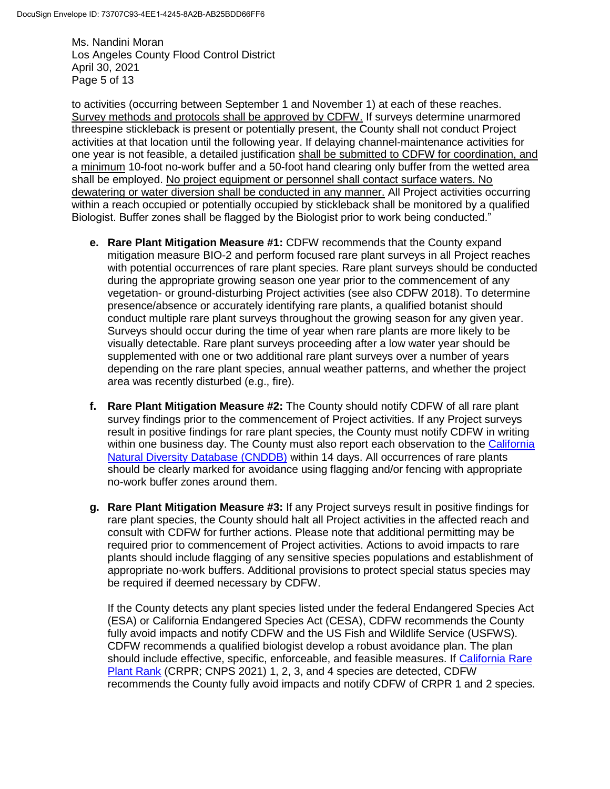Ms. Nandini Moran Los Angeles County Flood Control District April 30, 2021 Page 5 of 13

to activities (occurring between September 1 and November 1) at each of these reaches. Survey methods and protocols shall be approved by CDFW. If surveys determine unarmored threespine stickleback is present or potentially present, the County shall not conduct Project activities at that location until the following year. If delaying channel-maintenance activities for one year is not feasible, a detailed justification shall be submitted to CDFW for coordination, and a minimum 10-foot no-work buffer and a 50-foot hand clearing only buffer from the wetted area shall be employed. No project equipment or personnel shall contact surface waters. No dewatering or water diversion shall be conducted in any manner. All Project activities occurring within a reach occupied or potentially occupied by stickleback shall be monitored by a qualified Biologist. Buffer zones shall be flagged by the Biologist prior to work being conducted."

- **e. Rare Plant Mitigation Measure #1:** CDFW recommends that the County expand mitigation measure BIO-2 and perform focused rare plant surveys in all Project reaches with potential occurrences of rare plant species. Rare plant surveys should be conducted during the appropriate growing season one year prior to the commencement of any vegetation- or ground-disturbing Project activities (see also CDFW 2018). To determine presence/absence or accurately identifying rare plants, a qualified botanist should conduct multiple rare plant surveys throughout the growing season for any given year. Surveys should occur during the time of year when rare plants are more likely to be visually detectable. Rare plant surveys proceeding after a low water year should be supplemented with one or two additional rare plant surveys over a number of years depending on the rare plant species, annual weather patterns, and whether the project area was recently disturbed (e.g., fire).
- **f. Rare Plant Mitigation Measure #2:** The County should notify CDFW of all rare plant survey findings prior to the commencement of Project activities. If any Project surveys result in positive findings for rare plant species, the County must notify CDFW in writing within one business day. The County must also report each observation to the California [Natural Diversity Database \(CNDDB\)](https://wildlife.ca.gov/Data/CNDDB/Submitting-Data) within 14 days. All occurrences of rare plants should be clearly marked for avoidance using flagging and/or fencing with appropriate no-work buffer zones around them.
- **g. Rare Plant Mitigation Measure #3:** If any Project surveys result in positive findings for rare plant species, the County should halt all Project activities in the affected reach and consult with CDFW for further actions. Please note that additional permitting may be required prior to commencement of Project activities. Actions to avoid impacts to rare plants should include flagging of any sensitive species populations and establishment of appropriate no-work buffers. Additional provisions to protect special status species may be required if deemed necessary by CDFW.

If the County detects any plant species listed under the federal Endangered Species Act (ESA) or California Endangered Species Act (CESA), CDFW recommends the County fully avoid impacts and notify CDFW and the US Fish and Wildlife Service (USFWS). CDFW recommends a qualified biologist develop a robust avoidance plan. The plan should include effective, specific, enforceable, and feasible measures. If [California](https://www.cnps.org/rare-plants/cnps-rare-plant-ranks) Rare [Plant Rank](https://www.cnps.org/rare-plants/cnps-rare-plant-ranks) (CRPR; CNPS 2021) 1, 2, 3, and 4 species are detected, CDFW recommends the County fully avoid impacts and notify CDFW of CRPR 1 and 2 species.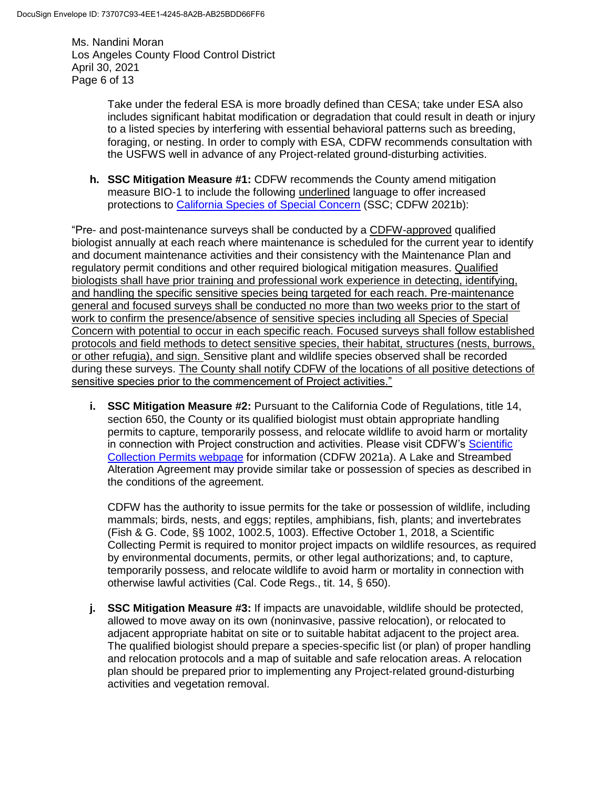Ms. Nandini Moran Los Angeles County Flood Control District April 30, 2021 Page 6 of 13

> Take under the federal ESA is more broadly defined than CESA; take under ESA also includes significant habitat modification or degradation that could result in death or injury to a listed species by interfering with essential behavioral patterns such as breeding, foraging, or nesting. In order to comply with ESA, CDFW recommends consultation with the USFWS well in advance of any Project-related ground-disturbing activities.

**h. SSC Mitigation Measure #1:** CDFW recommends the County amend mitigation measure BIO-1 to include the following underlined language to offer increased protections to [California Species of Special Concern](https://wildlife.ca.gov/Conservation/SSC) (SSC; CDFW 2021b):

"Pre- and post-maintenance surveys shall be conducted by a CDFW-approved qualified biologist annually at each reach where maintenance is scheduled for the current year to identify and document maintenance activities and their consistency with the Maintenance Plan and regulatory permit conditions and other required biological mitigation measures. Qualified biologists shall have prior training and professional work experience in detecting, identifying, and handling the specific sensitive species being targeted for each reach. Pre-maintenance general and focused surveys shall be conducted no more than two weeks prior to the start of work to confirm the presence/absence of sensitive species including all Species of Special Concern with potential to occur in each specific reach. Focused surveys shall follow established protocols and field methods to detect sensitive species, their habitat, structures (nests, burrows, or other refugia), and sign. Sensitive plant and wildlife species observed shall be recorded during these surveys. The County shall notify CDFW of the locations of all positive detections of sensitive species prior to the commencement of Project activities."

**i. SSC Mitigation Measure #2:** Pursuant to the California Code of Regulations, title 14, section 650, the County or its qualified biologist must obtain appropriate handling permits to capture, temporarily possess, and relocate wildlife to avoid harm or mortality in connection with Project construction and activities. Please visit CDFW's [Scientific](https://wildlife.ca.gov/Licensing/Scientific-Collecting)  [Collection Permits webpage](https://wildlife.ca.gov/Licensing/Scientific-Collecting) for information (CDFW 2021a). A Lake and Streambed Alteration Agreement may provide similar take or possession of species as described in the conditions of the agreement.

CDFW has the authority to issue permits for the take or possession of wildlife, including mammals; birds, nests, and eggs; reptiles, amphibians, fish, plants; and invertebrates (Fish & G. Code, §§ 1002, 1002.5, 1003). Effective October 1, 2018, a Scientific Collecting Permit is required to monitor project impacts on wildlife resources, as required by environmental documents, permits, or other legal authorizations; and, to capture, temporarily possess, and relocate wildlife to avoid harm or mortality in connection with otherwise lawful activities (Cal. Code Regs., tit. 14, § 650).

**j. SSC Mitigation Measure #3:** If impacts are unavoidable, wildlife should be protected, allowed to move away on its own (noninvasive, passive relocation), or relocated to adjacent appropriate habitat on site or to suitable habitat adjacent to the project area. The qualified biologist should prepare a species-specific list (or plan) of proper handling and relocation protocols and a map of suitable and safe relocation areas. A relocation plan should be prepared prior to implementing any Project-related ground-disturbing activities and vegetation removal.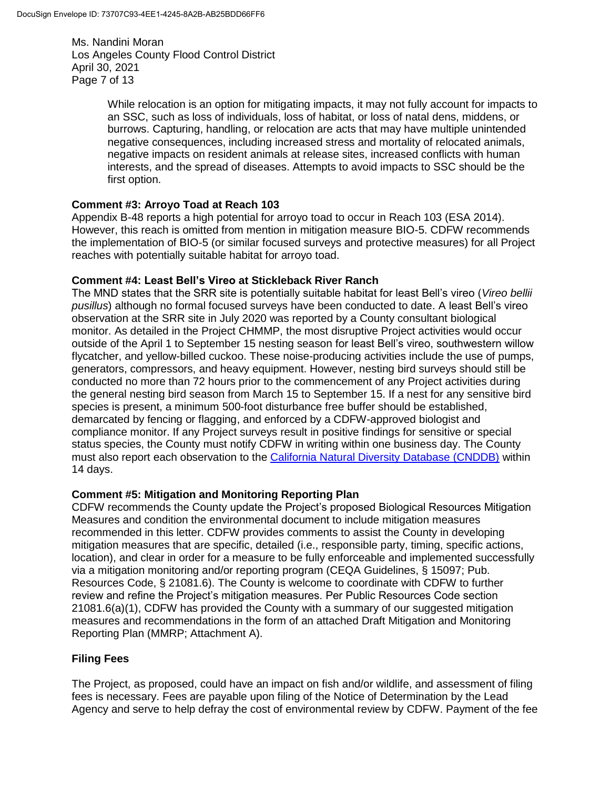Ms. Nandini Moran Los Angeles County Flood Control District April 30, 2021 Page 7 of 13

> While relocation is an option for mitigating impacts, it may not fully account for impacts to an SSC, such as loss of individuals, loss of habitat, or loss of natal dens, middens, or burrows. Capturing, handling, or relocation are acts that may have multiple unintended negative consequences, including increased stress and mortality of relocated animals, negative impacts on resident animals at release sites, increased conflicts with human interests, and the spread of diseases. Attempts to avoid impacts to SSC should be the first option.

## **Comment #3: Arroyo Toad at Reach 103**

Appendix B-48 reports a high potential for arroyo toad to occur in Reach 103 (ESA 2014). However, this reach is omitted from mention in mitigation measure BIO-5. CDFW recommends the implementation of BIO-5 (or similar focused surveys and protective measures) for all Project reaches with potentially suitable habitat for arroyo toad.

## **Comment #4: Least Bell's Vireo at Stickleback River Ranch**

The MND states that the SRR site is potentially suitable habitat for least Bell's vireo (*Vireo bellii pusillus*) although no formal focused surveys have been conducted to date. A least Bell's vireo observation at the SRR site in July 2020 was reported by a County consultant biological monitor. As detailed in the Project CHMMP, the most disruptive Project activities would occur outside of the April 1 to September 15 nesting season for least Bell's vireo, southwestern willow flycatcher, and yellow-billed cuckoo. These noise-producing activities include the use of pumps, generators, compressors, and heavy equipment. However, nesting bird surveys should still be conducted no more than 72 hours prior to the commencement of any Project activities during the general nesting bird season from March 15 to September 15. If a nest for any sensitive bird species is present, a minimum 500-foot disturbance free buffer should be established, demarcated by fencing or flagging, and enforced by a CDFW-approved biologist and compliance monitor. If any Project surveys result in positive findings for sensitive or special status species, the County must notify CDFW in writing within one business day. The County must also report each observation to the [California Natural Diversity Database \(CNDDB\)](https://wildlife.ca.gov/Data/CNDDB/Submitting-Data) within 14 days.

## **Comment #5: Mitigation and Monitoring Reporting Plan**

CDFW recommends the County update the Project's proposed Biological Resources Mitigation Measures and condition the environmental document to include mitigation measures recommended in this letter. CDFW provides comments to assist the County in developing mitigation measures that are specific, detailed (i.e., responsible party, timing, specific actions, location), and clear in order for a measure to be fully enforceable and implemented successfully via a mitigation monitoring and/or reporting program (CEQA Guidelines, § 15097; Pub. Resources Code, § 21081.6). The County is welcome to coordinate with CDFW to further review and refine the Project's mitigation measures. Per Public Resources Code section 21081.6(a)(1), CDFW has provided the County with a summary of our suggested mitigation measures and recommendations in the form of an attached Draft Mitigation and Monitoring Reporting Plan (MMRP; Attachment A).

## **Filing Fees**

The Project, as proposed, could have an impact on fish and/or wildlife, and assessment of filing fees is necessary. Fees are payable upon filing of the Notice of Determination by the Lead Agency and serve to help defray the cost of environmental review by CDFW. Payment of the fee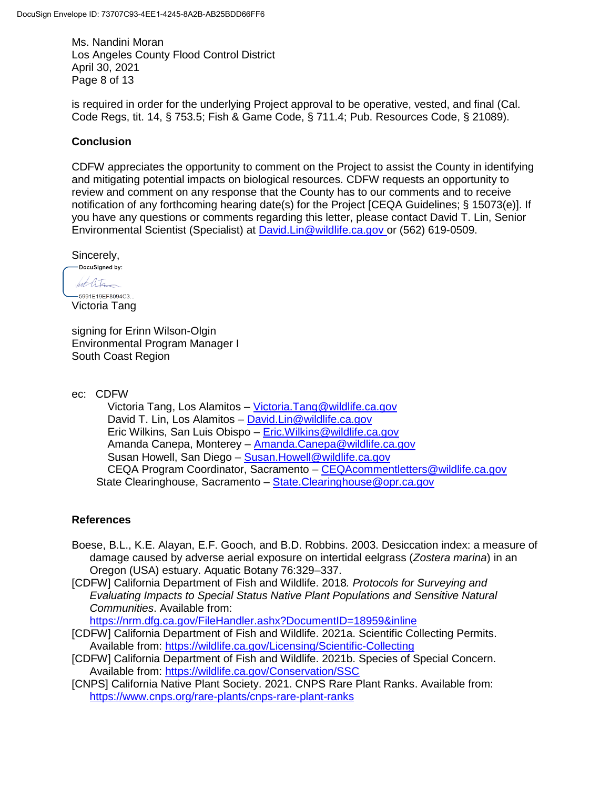Ms. Nandini Moran Los Angeles County Flood Control District April 30, 2021 Page 8 of 13

is required in order for the underlying Project approval to be operative, vested, and final (Cal. Code Regs, tit. 14, § 753.5; Fish & Game Code, § 711.4; Pub. Resources Code, § 21089).

### **Conclusion**

CDFW appreciates the opportunity to comment on the Project to assist the County in identifying and mitigating potential impacts on biological resources. CDFW requests an opportunity to review and comment on any response that the County has to our comments and to receive notification of any forthcoming hearing date(s) for the Project [CEQA Guidelines; § 15073(e)]. If you have any questions or comments regarding this letter, please contact David T. Lin, Senior Environmental Scientist (Specialist) at [David.Lin@wildlife.ca.gov](mailto:David.Lin@wildlife.ca.gov) or (562) 619-0509.

Sincerely,

-DocuSianed bv: hot life

 $-5991E19EF8094C3...$ Victoria Tang

signing for Erinn Wilson-Olgin Environmental Program Manager I South Coast Region

ec: CDFW

Victoria Tang, Los Alamitos – [Victoria.Tang@wildlife.ca.gov](mailto:Victoria.Tang@wildlife.ca.gov) David T. Lin, Los Alamitos – [David.Lin@wildlife.ca.gov](mailto:David.Lin@wildlife.ca.gov) Eric Wilkins, San Luis Obispo – [Eric.Wilkins@wildlife.ca.gov](mailto:Eric.Wilkins@wildlife.ca.gov) Amanda Canepa, Monterey – [Amanda.Canepa@wildlife.ca.gov](mailto:Amanda.Canepa@wildlife.ca.gov) Susan Howell, San Diego – [Susan.Howell@wildlife.ca.gov](mailto:Susan.Howell@wildlife.ca.gov) CEQA Program Coordinator, Sacramento – [CEQAcommentletters@wildlife.ca.gov](mailto:CEQAcommentletters@wildlife.ca.gov) State Clearinghouse, Sacramento – [State.Clearinghouse@opr.ca.gov](mailto:State.Clearinghouse@opr.ca.gov)

#### **References**

- Boese, B.L., K.E. Alayan, E.F. Gooch, and B.D. Robbins. 2003. Desiccation index: a measure of damage caused by adverse aerial exposure on intertidal eelgrass (*Zostera marina*) in an Oregon (USA) estuary. Aquatic Botany 76:329–337.
- [CDFW] California Department of Fish and Wildlife. 2018*. Protocols for Surveying and Evaluating Impacts to Special Status Native Plant Populations and Sensitive Natural Communities*. Available from:

https://nrm.dfg.ca.gov/FileHandler.ashx?DocumentID=18959&inline

- [CDFW] California Department of Fish and Wildlife. 2021a. Scientific Collecting Permits. Available from:<https://wildlife.ca.gov/Licensing/Scientific-Collecting>
- [CDFW] California Department of Fish and Wildlife. 2021b. Species of Special Concern. Available from:<https://wildlife.ca.gov/Conservation/SSC>
- [CNPS] California Native Plant Society. 2021. CNPS Rare Plant Ranks. Available from: <https://www.cnps.org/rare-plants/cnps-rare-plant-ranks>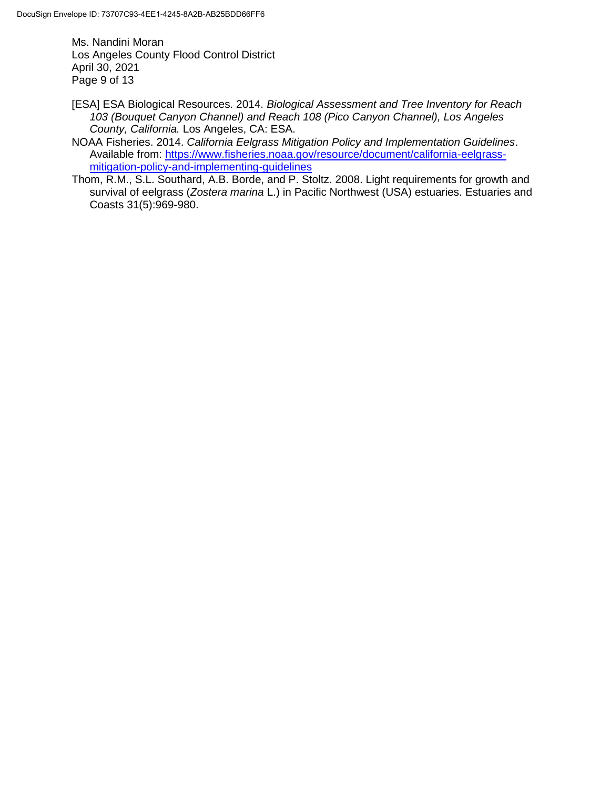Ms. Nandini Moran Los Angeles County Flood Control District April 30, 2021 Page 9 of 13

- [ESA] ESA Biological Resources. 2014. *Biological Assessment and Tree Inventory for Reach 103 (Bouquet Canyon Channel) and Reach 108 (Pico Canyon Channel), Los Angeles County, California.* Los Angeles, CA: ESA.
- NOAA Fisheries. 2014. *California Eelgrass Mitigation Policy and Implementation Guidelines*. Available from: [https://www.fisheries.noaa.gov/resource/document/california-eelgrass](https://www.fisheries.noaa.gov/resource/document/california-eelgrass-mitigation-policy-and-implementing-guidelines)[mitigation-policy-and-implementing-guidelines](https://www.fisheries.noaa.gov/resource/document/california-eelgrass-mitigation-policy-and-implementing-guidelines)
- Thom, R.M., S.L. Southard, A.B. Borde, and P. Stoltz. 2008. Light requirements for growth and survival of eelgrass (*Zostera marina* L.) in Pacific Northwest (USA) estuaries. Estuaries and Coasts 31(5):969-980.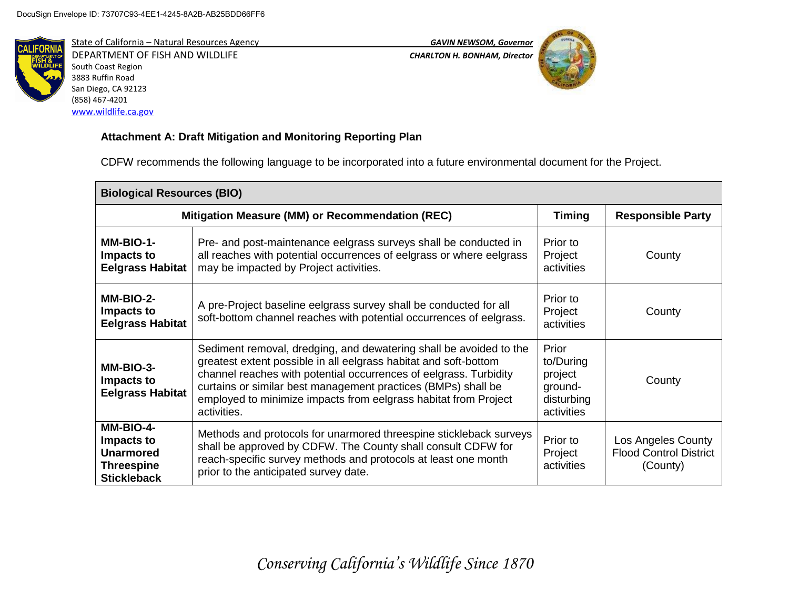

State of California – Natural Resources Agency *GAVIN NEWSOM, Governor* DEPARTMENT OF FISH AND WILDLIFE *CHARLTON H. BONHAM, Director*  South Coast Region 3883 Ruffin Road San Diego, CA 92123 (858) 467-4201 [www.wildlife.ca.gov](http://www.wildlife.ca.gov/)



# **Attachment A: Draft Mitigation and Monitoring Reporting Plan**

CDFW recommends the following language to be incorporated into a future environmental document for the Project.

| <b>Biological Resources (BIO)</b>                                                      |                                                                                                                                                                                                                                                                                                                                                                |                                                                      |                                                                 |  |
|----------------------------------------------------------------------------------------|----------------------------------------------------------------------------------------------------------------------------------------------------------------------------------------------------------------------------------------------------------------------------------------------------------------------------------------------------------------|----------------------------------------------------------------------|-----------------------------------------------------------------|--|
| Mitigation Measure (MM) or Recommendation (REC)                                        |                                                                                                                                                                                                                                                                                                                                                                | <b>Timing</b>                                                        | <b>Responsible Party</b>                                        |  |
| MM-BIO-1-<br>Impacts to<br><b>Eelgrass Habitat</b>                                     | Pre- and post-maintenance eelgrass surveys shall be conducted in<br>all reaches with potential occurrences of eelgrass or where eelgrass<br>may be impacted by Project activities.                                                                                                                                                                             | Prior to<br>Project<br>activities                                    | County                                                          |  |
| MM-BIO-2-<br>Impacts to<br><b>Eelgrass Habitat</b>                                     | A pre-Project baseline eelgrass survey shall be conducted for all<br>soft-bottom channel reaches with potential occurrences of eelgrass.                                                                                                                                                                                                                       | Prior to<br>Project<br>activities                                    | County                                                          |  |
| MM-BIO-3-<br>Impacts to<br><b>Eelgrass Habitat</b>                                     | Sediment removal, dredging, and dewatering shall be avoided to the<br>greatest extent possible in all eelgrass habitat and soft-bottom<br>channel reaches with potential occurrences of eelgrass. Turbidity<br>curtains or similar best management practices (BMPs) shall be<br>employed to minimize impacts from eelgrass habitat from Project<br>activities. | Prior<br>to/During<br>project<br>ground-<br>disturbing<br>activities | County                                                          |  |
| MM-BIO-4-<br>Impacts to<br><b>Unarmored</b><br><b>Threespine</b><br><b>Stickleback</b> | Methods and protocols for unarmored threespine stickleback surveys<br>shall be approved by CDFW. The County shall consult CDFW for<br>reach-specific survey methods and protocols at least one month<br>prior to the anticipated survey date.                                                                                                                  | Prior to<br>Project<br>activities                                    | Los Angeles County<br><b>Flood Control District</b><br>(County) |  |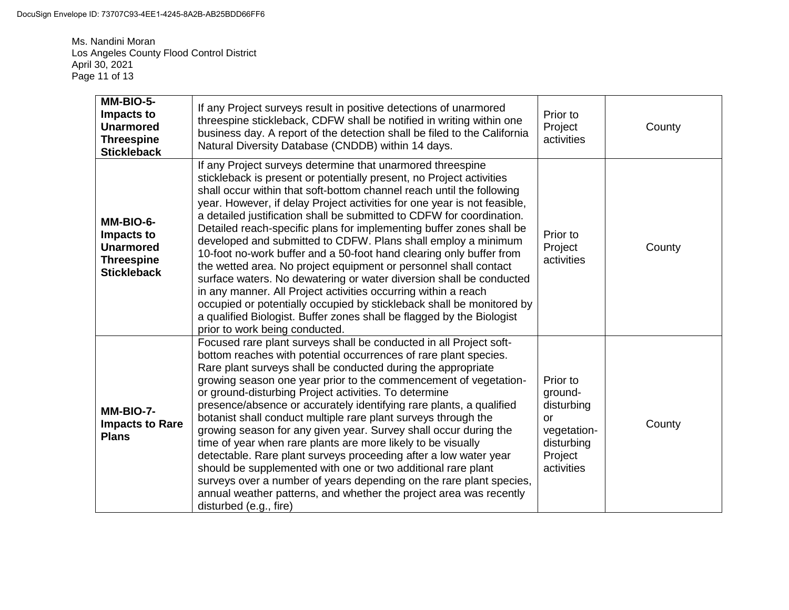Ms. Nandini Moran Los Angeles County Flood Control District April 30, 2021 Page 11 of 13

| MM-BIO-5-<br>Impacts to<br><b>Unarmored</b><br><b>Threespine</b><br><b>Stickleback</b> | If any Project surveys result in positive detections of unarmored<br>threespine stickleback, CDFW shall be notified in writing within one<br>business day. A report of the detection shall be filed to the California<br>Natural Diversity Database (CNDDB) within 14 days.                                                                                                                                                                                                                                                                                                                                                                                                                                                                                                                                                                                                                                                                                                       | Prior to<br>Project<br>activities                                                                    | County |
|----------------------------------------------------------------------------------------|-----------------------------------------------------------------------------------------------------------------------------------------------------------------------------------------------------------------------------------------------------------------------------------------------------------------------------------------------------------------------------------------------------------------------------------------------------------------------------------------------------------------------------------------------------------------------------------------------------------------------------------------------------------------------------------------------------------------------------------------------------------------------------------------------------------------------------------------------------------------------------------------------------------------------------------------------------------------------------------|------------------------------------------------------------------------------------------------------|--------|
| MM-BIO-6-<br>Impacts to<br><b>Unarmored</b><br><b>Threespine</b><br><b>Stickleback</b> | If any Project surveys determine that unarmored threespine<br>stickleback is present or potentially present, no Project activities<br>shall occur within that soft-bottom channel reach until the following<br>year. However, if delay Project activities for one year is not feasible,<br>a detailed justification shall be submitted to CDFW for coordination.<br>Detailed reach-specific plans for implementing buffer zones shall be<br>developed and submitted to CDFW. Plans shall employ a minimum<br>10-foot no-work buffer and a 50-foot hand clearing only buffer from<br>the wetted area. No project equipment or personnel shall contact<br>surface waters. No dewatering or water diversion shall be conducted<br>in any manner. All Project activities occurring within a reach<br>occupied or potentially occupied by stickleback shall be monitored by<br>a qualified Biologist. Buffer zones shall be flagged by the Biologist<br>prior to work being conducted. | Prior to<br>Project<br>activities                                                                    | County |
| MM-BIO-7-<br><b>Impacts to Rare</b><br><b>Plans</b>                                    | Focused rare plant surveys shall be conducted in all Project soft-<br>bottom reaches with potential occurrences of rare plant species.<br>Rare plant surveys shall be conducted during the appropriate<br>growing season one year prior to the commencement of vegetation-<br>or ground-disturbing Project activities. To determine<br>presence/absence or accurately identifying rare plants, a qualified<br>botanist shall conduct multiple rare plant surveys through the<br>growing season for any given year. Survey shall occur during the<br>time of year when rare plants are more likely to be visually<br>detectable. Rare plant surveys proceeding after a low water year<br>should be supplemented with one or two additional rare plant<br>surveys over a number of years depending on the rare plant species,<br>annual weather patterns, and whether the project area was recently<br>disturbed (e.g., fire)                                                       | Prior to<br>ground-<br>disturbing<br><b>or</b><br>vegetation-<br>disturbing<br>Project<br>activities | County |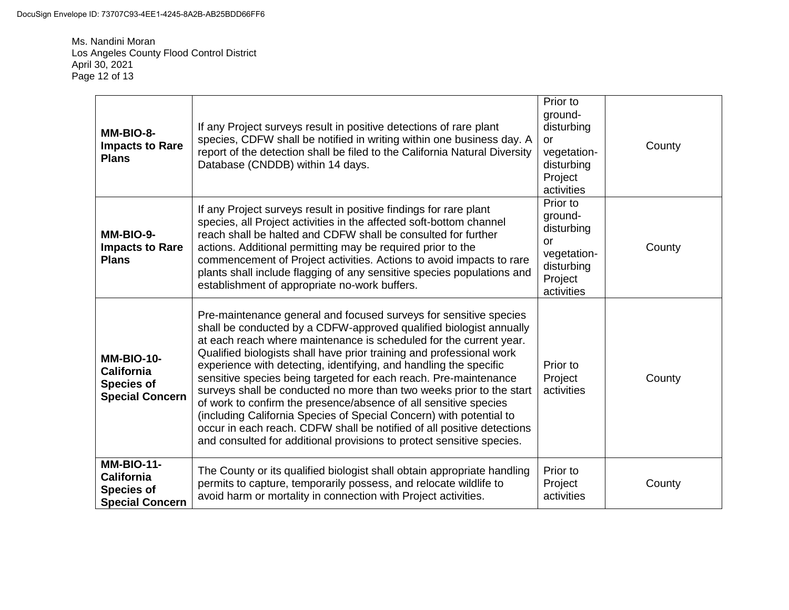Ms. Nandini Moran Los Angeles County Flood Control District April 30, 2021 Page 12 of 13

| MM-BIO-8-<br><b>Impacts to Rare</b><br><b>Plans</b>                                   | If any Project surveys result in positive detections of rare plant<br>species, CDFW shall be notified in writing within one business day. A<br>report of the detection shall be filed to the California Natural Diversity<br>Database (CNDDB) within 14 days.                                                                                                                                                                                                                                                                                                                                                                                                                                                                                                                                        | Prior to<br>ground-<br>disturbing<br><b>or</b><br>vegetation-<br>disturbing<br>Project<br>activities | County |
|---------------------------------------------------------------------------------------|------------------------------------------------------------------------------------------------------------------------------------------------------------------------------------------------------------------------------------------------------------------------------------------------------------------------------------------------------------------------------------------------------------------------------------------------------------------------------------------------------------------------------------------------------------------------------------------------------------------------------------------------------------------------------------------------------------------------------------------------------------------------------------------------------|------------------------------------------------------------------------------------------------------|--------|
| MM-BIO-9-<br><b>Impacts to Rare</b><br><b>Plans</b>                                   | If any Project surveys result in positive findings for rare plant<br>species, all Project activities in the affected soft-bottom channel<br>reach shall be halted and CDFW shall be consulted for further<br>actions. Additional permitting may be required prior to the<br>commencement of Project activities. Actions to avoid impacts to rare<br>plants shall include flagging of any sensitive species populations and<br>establishment of appropriate no-work buffers.                                                                                                                                                                                                                                                                                                                          | Prior to<br>ground-<br>disturbing<br><b>or</b><br>vegetation-<br>disturbing<br>Project<br>activities | County |
| <b>MM-BIO-10-</b><br>California<br><b>Species of</b><br><b>Special Concern</b>        | Pre-maintenance general and focused surveys for sensitive species<br>shall be conducted by a CDFW-approved qualified biologist annually<br>at each reach where maintenance is scheduled for the current year.<br>Qualified biologists shall have prior training and professional work<br>experience with detecting, identifying, and handling the specific<br>sensitive species being targeted for each reach. Pre-maintenance<br>surveys shall be conducted no more than two weeks prior to the start<br>of work to confirm the presence/absence of all sensitive species<br>(including California Species of Special Concern) with potential to<br>occur in each reach. CDFW shall be notified of all positive detections<br>and consulted for additional provisions to protect sensitive species. | Prior to<br>Project<br>activities                                                                    | County |
| <b>MM-BIO-11-</b><br><b>California</b><br><b>Species of</b><br><b>Special Concern</b> | The County or its qualified biologist shall obtain appropriate handling<br>permits to capture, temporarily possess, and relocate wildlife to<br>avoid harm or mortality in connection with Project activities.                                                                                                                                                                                                                                                                                                                                                                                                                                                                                                                                                                                       | Prior to<br>Project<br>activities                                                                    | County |